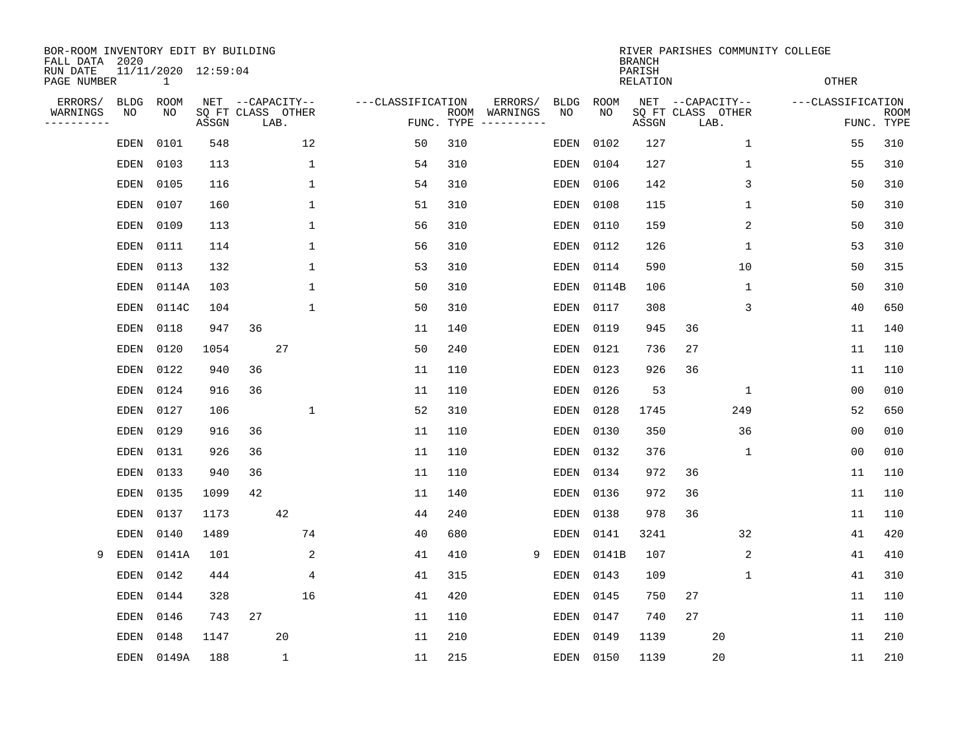| BOR-ROOM INVENTORY EDIT BY BUILDING<br>FALL DATA 2020<br>RUN DATE |                   | 11/11/2020 12:59:04 |       |                                               |              |                   |                    |                     |                   |            | <b>BRANCH</b><br>PARISH |                                               |              | RIVER PARISHES COMMUNITY COLLEGE |                           |
|-------------------------------------------------------------------|-------------------|---------------------|-------|-----------------------------------------------|--------------|-------------------|--------------------|---------------------|-------------------|------------|-------------------------|-----------------------------------------------|--------------|----------------------------------|---------------------------|
| PAGE NUMBER                                                       |                   | $\mathbf 1$         |       |                                               |              |                   |                    |                     |                   |            | RELATION                |                                               |              | <b>OTHER</b>                     |                           |
| ERRORS/<br>WARNINGS<br>---------                                  | <b>BLDG</b><br>NO | ROOM<br>NO          | ASSGN | NET --CAPACITY--<br>SQ FT CLASS OTHER<br>LAB. |              | ---CLASSIFICATION | ROOM<br>FUNC. TYPE | ERRORS/<br>WARNINGS | <b>BLDG</b><br>NO | ROOM<br>NO | ASSGN                   | NET --CAPACITY--<br>SQ FT CLASS OTHER<br>LAB. |              | ---CLASSIFICATION                | <b>ROOM</b><br>FUNC. TYPE |
|                                                                   | EDEN              | 0101                | 548   |                                               | 12           | 50                | 310                |                     | EDEN              | 0102       | 127                     |                                               | 1            | 55                               | 310                       |
|                                                                   | EDEN              | 0103                | 113   |                                               | 1            | 54                | 310                |                     | EDEN              | 0104       | 127                     |                                               | $\mathbf{1}$ | 55                               | 310                       |
|                                                                   | EDEN              | 0105                | 116   |                                               | 1            | 54                | 310                |                     | EDEN              | 0106       | 142                     |                                               | 3            | 50                               | 310                       |
|                                                                   | <b>EDEN</b>       | 0107                | 160   |                                               | 1            | 51                | 310                |                     | EDEN              | 0108       | 115                     |                                               | $\mathbf{1}$ | 50                               | 310                       |
|                                                                   | <b>EDEN</b>       | 0109                | 113   |                                               | $\mathbf 1$  | 56                | 310                |                     | EDEN              | 0110       | 159                     |                                               | 2            | 50                               | 310                       |
|                                                                   | <b>EDEN</b>       | 0111                | 114   |                                               | 1            | 56                | 310                |                     | EDEN              | 0112       | 126                     |                                               | 1            | 53                               | 310                       |
|                                                                   | <b>EDEN</b>       | 0113                | 132   |                                               | $\mathbf 1$  | 53                | 310                |                     | EDEN              | 0114       | 590                     |                                               | 10           | 50                               | 315                       |
|                                                                   | <b>EDEN</b>       | 0114A               | 103   |                                               | 1            | 50                | 310                |                     | EDEN              | 0114B      | 106                     |                                               | 1            | 50                               | 310                       |
|                                                                   | EDEN              | 0114C               | 104   |                                               | $\mathbf 1$  | 50                | 310                |                     | EDEN              | 0117       | 308                     |                                               | 3            | 40                               | 650                       |
|                                                                   | EDEN              | 0118                | 947   | 36                                            |              | 11                | 140                |                     | EDEN              | 0119       | 945                     | 36                                            |              | 11                               | 140                       |
|                                                                   | EDEN              | 0120                | 1054  |                                               | 27           | 50                | 240                |                     | EDEN              | 0121       | 736                     | 27                                            |              | 11                               | 110                       |
|                                                                   | EDEN              | 0122                | 940   | 36                                            |              | 11                | 110                |                     | EDEN              | 0123       | 926                     | 36                                            |              | 11                               | 110                       |
|                                                                   | <b>EDEN</b>       | 0124                | 916   | 36                                            |              | 11                | 110                |                     | <b>EDEN</b>       | 0126       | 53                      |                                               | 1            | 0 <sub>0</sub>                   | 010                       |
|                                                                   | EDEN              | 0127                | 106   |                                               | 1            | 52                | 310                |                     | EDEN              | 0128       | 1745                    |                                               | 249          | 52                               | 650                       |
|                                                                   | EDEN              | 0129                | 916   | 36                                            |              | 11                | 110                |                     | EDEN              | 0130       | 350                     |                                               | 36           | 00                               | 010                       |
|                                                                   | <b>EDEN</b>       | 0131                | 926   | 36                                            |              | 11                | 110                |                     | EDEN              | 0132       | 376                     |                                               | 1            | 0 <sub>0</sub>                   | 010                       |
|                                                                   | <b>EDEN</b>       | 0133                | 940   | 36                                            |              | 11                | 110                |                     | EDEN              | 0134       | 972                     | 36                                            |              | 11                               | 110                       |
|                                                                   | <b>EDEN</b>       | 0135                | 1099  | 42                                            |              | 11                | 140                |                     | EDEN              | 0136       | 972                     | 36                                            |              | 11                               | 110                       |
|                                                                   | <b>EDEN</b>       | 0137                | 1173  |                                               | 42           | 44                | 240                |                     | EDEN              | 0138       | 978                     | 36                                            |              | 11                               | 110                       |
|                                                                   | <b>EDEN</b>       | 0140                | 1489  |                                               | 74           | 40                | 680                |                     | EDEN              | 0141       | 3241                    |                                               | 32           | 41                               | 420                       |
| 9                                                                 | <b>EDEN</b>       | 0141A               | 101   |                                               | 2            | 41                | 410                | 9                   | <b>EDEN</b>       | 0141B      | 107                     |                                               | 2            | 41                               | 410                       |
|                                                                   | <b>EDEN</b>       | 0142                | 444   |                                               | 4            | 41                | 315                |                     | EDEN              | 0143       | 109                     |                                               | 1            | 41                               | 310                       |
|                                                                   | EDEN              | 0144                | 328   |                                               | 16           | 41                | 420                |                     | EDEN              | 0145       | 750                     | 27                                            |              | 11                               | 110                       |
|                                                                   | EDEN              | 0146                | 743   | 27                                            |              | 11                | 110                |                     | EDEN              | 0147       | 740                     | 27                                            |              | 11                               | 110                       |
|                                                                   | <b>EDEN</b>       | 0148                | 1147  |                                               | 20           | 11                | 210                |                     | EDEN              | 0149       | 1139                    | 20                                            |              | 11                               | 210                       |
|                                                                   | EDEN              | 0149A               | 188   |                                               | $\mathbf{1}$ | 11                | 215                |                     | EDEN              | 0150       | 1139                    | 20                                            |              | 11                               | 210                       |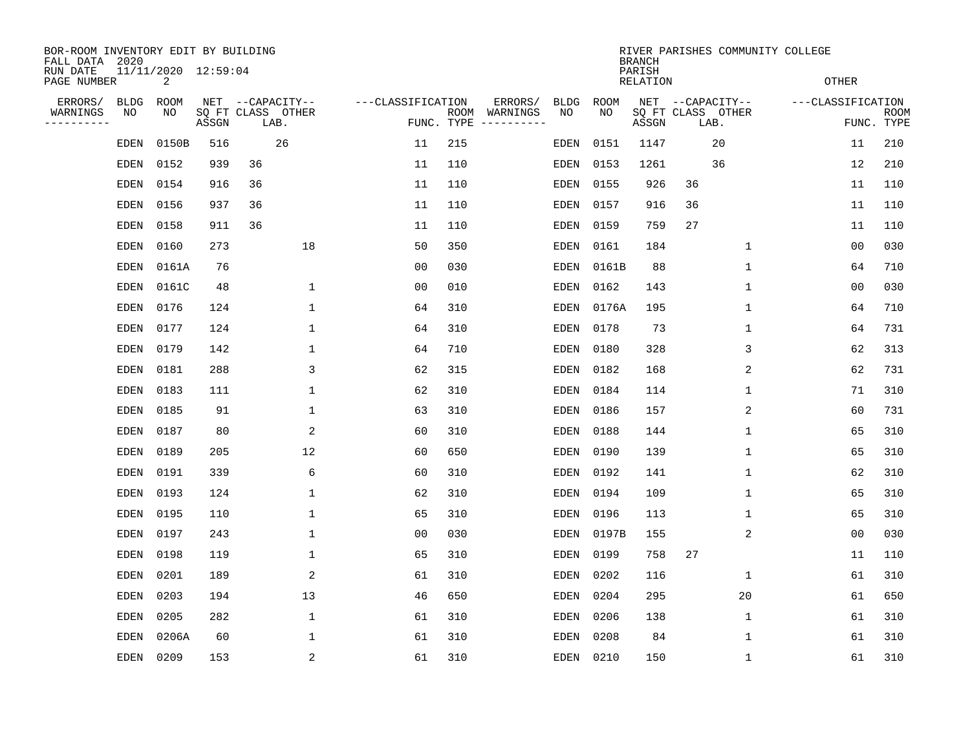| BOR-ROOM INVENTORY EDIT BY BUILDING<br>FALL DATA 2020 |             |                          |       |                           |                   |                    |                                                                                                                                                                                                                                                                                                                                                                                                                                                                     |             |           | <b>BRANCH</b>      |      |                   | RIVER PARISHES COMMUNITY COLLEGE |                   |                           |
|-------------------------------------------------------|-------------|--------------------------|-------|---------------------------|-------------------|--------------------|---------------------------------------------------------------------------------------------------------------------------------------------------------------------------------------------------------------------------------------------------------------------------------------------------------------------------------------------------------------------------------------------------------------------------------------------------------------------|-------------|-----------|--------------------|------|-------------------|----------------------------------|-------------------|---------------------------|
| RUN DATE<br>PAGE NUMBER                               |             | 11/11/2020 12:59:04<br>2 |       |                           |                   |                    |                                                                                                                                                                                                                                                                                                                                                                                                                                                                     |             |           | PARISH<br>RELATION |      |                   |                                  | <b>OTHER</b>      |                           |
| ERRORS/                                               | <b>BLDG</b> | ROOM                     |       | NET --CAPACITY--          | ---CLASSIFICATION |                    | ERRORS/                                                                                                                                                                                                                                                                                                                                                                                                                                                             | <b>BLDG</b> | ROOM      |                    |      | NET --CAPACITY--  |                                  | ---CLASSIFICATION |                           |
| WARNINGS<br>--------                                  | NO          | NO                       | ASSGN | SQ FT CLASS OTHER<br>LAB. |                   | ROOM<br>FUNC. TYPE | WARNINGS<br>$\begin{tabular}{ccccccccc} \multicolumn{2}{c }{\textbf{1} } & \multicolumn{2}{c }{\textbf{2} } & \multicolumn{2}{c }{\textbf{3} } & \multicolumn{2}{c }{\textbf{4} } & \multicolumn{2}{c }{\textbf{5} } & \multicolumn{2}{c }{\textbf{6} } & \multicolumn{2}{c }{\textbf{7} } & \multicolumn{2}{c }{\textbf{8} } & \multicolumn{2}{c }{\textbf{9} } & \multicolumn{2}{c }{\textbf{1} } & \multicolumn{2}{c }{\textbf{1} } & \multicolumn{2}{c }{\text$ | NO          | NO        | ASSGN              | LAB. | SQ FT CLASS OTHER |                                  |                   | <b>ROOM</b><br>FUNC. TYPE |
|                                                       | EDEN        | 0150B                    | 516   | 26                        | 11                | 215                |                                                                                                                                                                                                                                                                                                                                                                                                                                                                     | EDEN        | 0151      | 1147               |      | 20                |                                  | 11                | 210                       |
|                                                       | EDEN        | 0152                     | 939   | 36                        | 11                | 110                |                                                                                                                                                                                                                                                                                                                                                                                                                                                                     | EDEN        | 0153      | 1261               |      | 36                |                                  | 12                | 210                       |
|                                                       | EDEN        | 0154                     | 916   | 36                        | 11                | 110                |                                                                                                                                                                                                                                                                                                                                                                                                                                                                     | EDEN        | 0155      | 926                | 36   |                   |                                  | 11                | 110                       |
|                                                       | EDEN        | 0156                     | 937   | 36                        | 11                | 110                |                                                                                                                                                                                                                                                                                                                                                                                                                                                                     | EDEN        | 0157      | 916                | 36   |                   |                                  | 11                | 110                       |
|                                                       | EDEN        | 0158                     | 911   | 36                        | 11                | 110                |                                                                                                                                                                                                                                                                                                                                                                                                                                                                     | EDEN        | 0159      | 759                | 27   |                   |                                  | 11                | 110                       |
|                                                       | EDEN        | 0160                     | 273   | 18                        | 50                | 350                |                                                                                                                                                                                                                                                                                                                                                                                                                                                                     | EDEN        | 0161      | 184                |      | 1                 |                                  | 00                | 030                       |
|                                                       | EDEN        | 0161A                    | 76    |                           | 0 <sub>0</sub>    | 030                |                                                                                                                                                                                                                                                                                                                                                                                                                                                                     | EDEN        | 0161B     | 88                 |      | $\mathbf 1$       |                                  | 64                | 710                       |
|                                                       | EDEN        | 0161C                    | 48    | 1                         | 0 <sub>0</sub>    | 010                |                                                                                                                                                                                                                                                                                                                                                                                                                                                                     | EDEN        | 0162      | 143                |      | 1                 |                                  | 00                | 030                       |
|                                                       | EDEN        | 0176                     | 124   | 1                         | 64                | 310                |                                                                                                                                                                                                                                                                                                                                                                                                                                                                     | EDEN        | 0176A     | 195                |      | 1                 |                                  | 64                | 710                       |
|                                                       | EDEN        | 0177                     | 124   | 1                         | 64                | 310                |                                                                                                                                                                                                                                                                                                                                                                                                                                                                     | EDEN        | 0178      | 73                 |      | 1                 |                                  | 64                | 731                       |
|                                                       | EDEN        | 0179                     | 142   | 1                         | 64                | 710                |                                                                                                                                                                                                                                                                                                                                                                                                                                                                     | EDEN        | 0180      | 328                |      | 3                 |                                  | 62                | 313                       |
|                                                       | EDEN        | 0181                     | 288   | 3                         | 62                | 315                |                                                                                                                                                                                                                                                                                                                                                                                                                                                                     | EDEN        | 0182      | 168                |      | 2                 |                                  | 62                | 731                       |
|                                                       | EDEN        | 0183                     | 111   | $\mathbf 1$               | 62                | 310                |                                                                                                                                                                                                                                                                                                                                                                                                                                                                     | EDEN        | 0184      | 114                |      | 1                 |                                  | 71                | 310                       |
|                                                       | EDEN        | 0185                     | 91    | $\mathbf{1}$              | 63                | 310                |                                                                                                                                                                                                                                                                                                                                                                                                                                                                     | EDEN        | 0186      | 157                |      | 2                 |                                  | 60                | 731                       |
|                                                       | EDEN        | 0187                     | 80    | 2                         | 60                | 310                |                                                                                                                                                                                                                                                                                                                                                                                                                                                                     | EDEN        | 0188      | 144                |      | 1                 |                                  | 65                | 310                       |
|                                                       | EDEN        | 0189                     | 205   | 12                        | 60                | 650                |                                                                                                                                                                                                                                                                                                                                                                                                                                                                     | EDEN        | 0190      | 139                |      | 1                 |                                  | 65                | 310                       |
|                                                       | EDEN        | 0191                     | 339   | 6                         | 60                | 310                |                                                                                                                                                                                                                                                                                                                                                                                                                                                                     | EDEN        | 0192      | 141                |      | 1                 |                                  | 62                | 310                       |
|                                                       | EDEN        | 0193                     | 124   | 1                         | 62                | 310                |                                                                                                                                                                                                                                                                                                                                                                                                                                                                     | EDEN        | 0194      | 109                |      | 1                 |                                  | 65                | 310                       |
|                                                       | EDEN        | 0195                     | 110   | 1                         | 65                | 310                |                                                                                                                                                                                                                                                                                                                                                                                                                                                                     | EDEN        | 0196      | 113                |      | 1                 |                                  | 65                | 310                       |
|                                                       | EDEN        | 0197                     | 243   | 1                         | 0 <sub>0</sub>    | 030                |                                                                                                                                                                                                                                                                                                                                                                                                                                                                     | EDEN        | 0197B     | 155                |      | 2                 |                                  | 0 <sub>0</sub>    | 030                       |
|                                                       | EDEN        | 0198                     | 119   | 1                         | 65                | 310                |                                                                                                                                                                                                                                                                                                                                                                                                                                                                     | EDEN        | 0199      | 758                | 27   |                   |                                  | 11                | 110                       |
|                                                       | <b>EDEN</b> | 0201                     | 189   | 2                         | 61                | 310                |                                                                                                                                                                                                                                                                                                                                                                                                                                                                     | EDEN        | 0202      | 116                |      | 1                 |                                  | 61                | 310                       |
|                                                       | EDEN        | 0203                     | 194   | 13                        | 46                | 650                |                                                                                                                                                                                                                                                                                                                                                                                                                                                                     | EDEN        | 0204      | 295                |      | 20                |                                  | 61                | 650                       |
|                                                       | EDEN        | 0205                     | 282   | $\mathbf{1}$              | 61                | 310                |                                                                                                                                                                                                                                                                                                                                                                                                                                                                     | EDEN        | 0206      | 138                |      | 1                 |                                  | 61                | 310                       |
|                                                       | EDEN        | 0206A                    | 60    | 1                         | 61                | 310                |                                                                                                                                                                                                                                                                                                                                                                                                                                                                     | EDEN        | 0208      | 84                 |      | 1                 |                                  | 61                | 310                       |
|                                                       | EDEN        | 0209                     | 153   | 2                         | 61                | 310                |                                                                                                                                                                                                                                                                                                                                                                                                                                                                     |             | EDEN 0210 | 150                |      | 1                 |                                  | 61                | 310                       |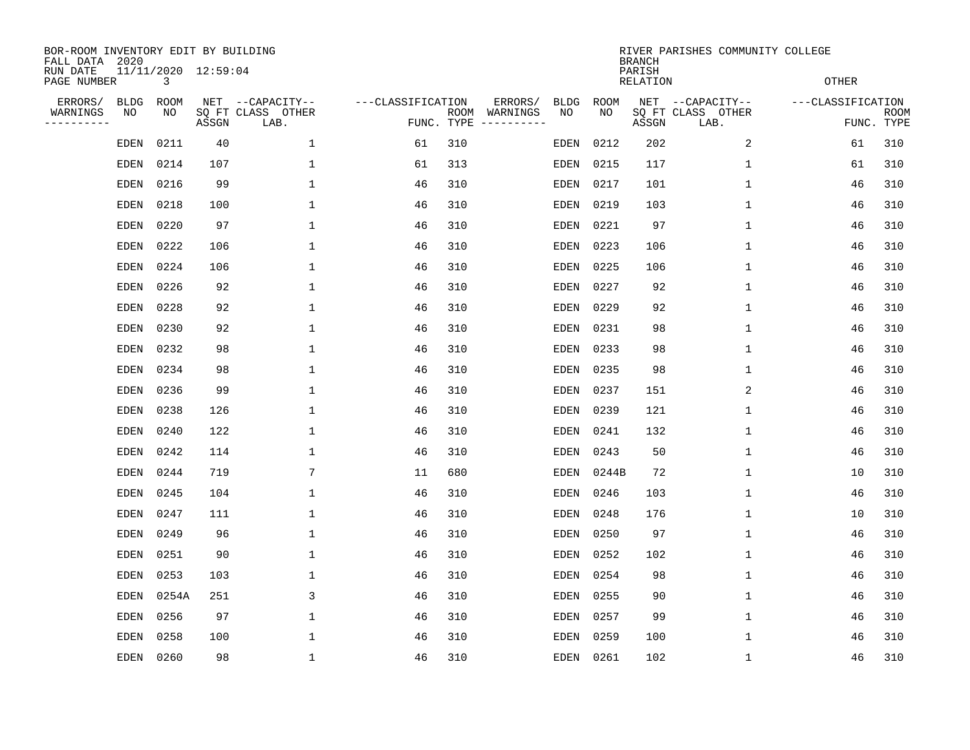| BOR-ROOM INVENTORY EDIT BY BUILDING<br>FALL DATA 2020 |                   |            |                     |                                               |                                 |      |                                             |                   |                   | <b>BRANCH</b>      | RIVER PARISHES COMMUNITY COLLEGE              |                   |                           |
|-------------------------------------------------------|-------------------|------------|---------------------|-----------------------------------------------|---------------------------------|------|---------------------------------------------|-------------------|-------------------|--------------------|-----------------------------------------------|-------------------|---------------------------|
| RUN DATE<br>PAGE NUMBER                               |                   | 3          | 11/11/2020 12:59:04 |                                               |                                 |      |                                             |                   |                   | PARISH<br>RELATION |                                               | <b>OTHER</b>      |                           |
| ERRORS/<br>WARNINGS<br>. <u>.</u> .                   | <b>BLDG</b><br>NO | ROOM<br>NO | ASSGN               | NET --CAPACITY--<br>SQ FT CLASS OTHER<br>LAB. | ---CLASSIFICATION<br>FUNC. TYPE | ROOM | ERRORS/<br>WARNINGS<br>$-- - - - - - - - -$ | <b>BLDG</b><br>NO | <b>ROOM</b><br>NO | ASSGN              | NET --CAPACITY--<br>SQ FT CLASS OTHER<br>LAB. | ---CLASSIFICATION | <b>ROOM</b><br>FUNC. TYPE |
|                                                       | <b>EDEN</b>       | 0211       | 40                  | $\mathbf{1}$                                  | 61                              | 310  |                                             | EDEN              | 0212              | 202                | 2                                             | 61                | 310                       |
|                                                       | <b>EDEN</b>       | 0214       | 107                 | 1                                             | 61                              | 313  |                                             | EDEN              | 0215              | 117                | $\mathbf 1$                                   | 61                | 310                       |
|                                                       | EDEN              | 0216       | 99                  | $\mathbf 1$                                   | 46                              | 310  |                                             | EDEN              | 0217              | 101                | $\mathbf{1}$                                  | 46                | 310                       |
|                                                       | <b>EDEN</b>       | 0218       | 100                 | $\mathbf 1$                                   | 46                              | 310  |                                             | <b>EDEN</b>       | 0219              | 103                | $\mathbf{1}$                                  | 46                | 310                       |
|                                                       | <b>EDEN</b>       | 0220       | 97                  | $\mathbf{1}$                                  | 46                              | 310  |                                             | <b>EDEN</b>       | 0221              | 97                 | $\mathbf{1}$                                  | 46                | 310                       |
|                                                       | <b>EDEN</b>       | 0222       | 106                 | 1                                             | 46                              | 310  |                                             | EDEN              | 0223              | 106                | $\mathbf{1}$                                  | 46                | 310                       |
|                                                       | EDEN              | 0224       | 106                 | $\mathbf{1}$                                  | 46                              | 310  |                                             | EDEN              | 0225              | 106                | $\mathbf{1}$                                  | 46                | 310                       |
|                                                       | <b>EDEN</b>       | 0226       | 92                  | $\mathbf 1$                                   | 46                              | 310  |                                             | EDEN              | 0227              | 92                 | $\mathbf 1$                                   | 46                | 310                       |
|                                                       | <b>EDEN</b>       | 0228       | 92                  | $\mathbf 1$                                   | 46                              | 310  |                                             | EDEN              | 0229              | 92                 | $\mathbf 1$                                   | 46                | 310                       |
|                                                       | <b>EDEN</b>       | 0230       | 92                  | 1                                             | 46                              | 310  |                                             | EDEN              | 0231              | 98                 | 1                                             | 46                | 310                       |
|                                                       | EDEN              | 0232       | 98                  | 1                                             | 46                              | 310  |                                             | EDEN              | 0233              | 98                 | 1                                             | 46                | 310                       |
|                                                       | EDEN              | 0234       | 98                  | 1                                             | 46                              | 310  |                                             | EDEN              | 0235              | 98                 | $\mathbf 1$                                   | 46                | 310                       |
|                                                       | EDEN              | 0236       | 99                  | 1                                             | 46                              | 310  |                                             | EDEN              | 0237              | 151                | 2                                             | 46                | 310                       |
|                                                       | EDEN              | 0238       | 126                 | 1                                             | 46                              | 310  |                                             | EDEN              | 0239              | 121                | 1                                             | 46                | 310                       |
|                                                       | EDEN              | 0240       | 122                 | 1                                             | 46                              | 310  |                                             | EDEN              | 0241              | 132                | 1                                             | 46                | 310                       |
|                                                       | <b>EDEN</b>       | 0242       | 114                 | $\mathbf 1$                                   | 46                              | 310  |                                             | EDEN              | 0243              | 50                 | 1                                             | 46                | 310                       |
|                                                       | EDEN              | 0244       | 719                 | 7                                             | 11                              | 680  |                                             | EDEN              | 0244B             | 72                 | 1                                             | 10                | 310                       |
|                                                       | <b>EDEN</b>       | 0245       | 104                 | $\mathbf 1$                                   | 46                              | 310  |                                             | EDEN              | 0246              | 103                | 1                                             | 46                | 310                       |
|                                                       | <b>EDEN</b>       | 0247       | 111                 | $\mathbf{1}$                                  | 46                              | 310  |                                             | EDEN              | 0248              | 176                | 1                                             | 10                | 310                       |
|                                                       | <b>EDEN</b>       | 0249       | 96                  | $\mathbf 1$                                   | 46                              | 310  |                                             | EDEN              | 0250              | 97                 | 1                                             | 46                | 310                       |
|                                                       | <b>EDEN</b>       | 0251       | 90                  | $\mathbf{1}$                                  | 46                              | 310  |                                             | <b>EDEN</b>       | 0252              | 102                | 1                                             | 46                | 310                       |
|                                                       | <b>EDEN</b>       | 0253       | 103                 | $\mathbf{1}$                                  | 46                              | 310  |                                             | EDEN              | 0254              | 98                 | 1                                             | 46                | 310                       |
|                                                       | <b>EDEN</b>       | 0254A      | 251                 | 3                                             | 46                              | 310  |                                             | EDEN              | 0255              | 90                 | 1                                             | 46                | 310                       |
|                                                       | <b>EDEN</b>       | 0256       | 97                  | $\mathbf{1}$                                  | 46                              | 310  |                                             | EDEN              | 0257              | 99                 | 1                                             | 46                | 310                       |
|                                                       | <b>EDEN</b>       | 0258       | 100                 | 1                                             | 46                              | 310  |                                             | EDEN              | 0259              | 100                | 1                                             | 46                | 310                       |
|                                                       | <b>EDEN</b>       | 0260       | 98                  | 1                                             | 46                              | 310  |                                             | EDEN              | 0261              | 102                | $\mathbf{1}$                                  | 46                | 310                       |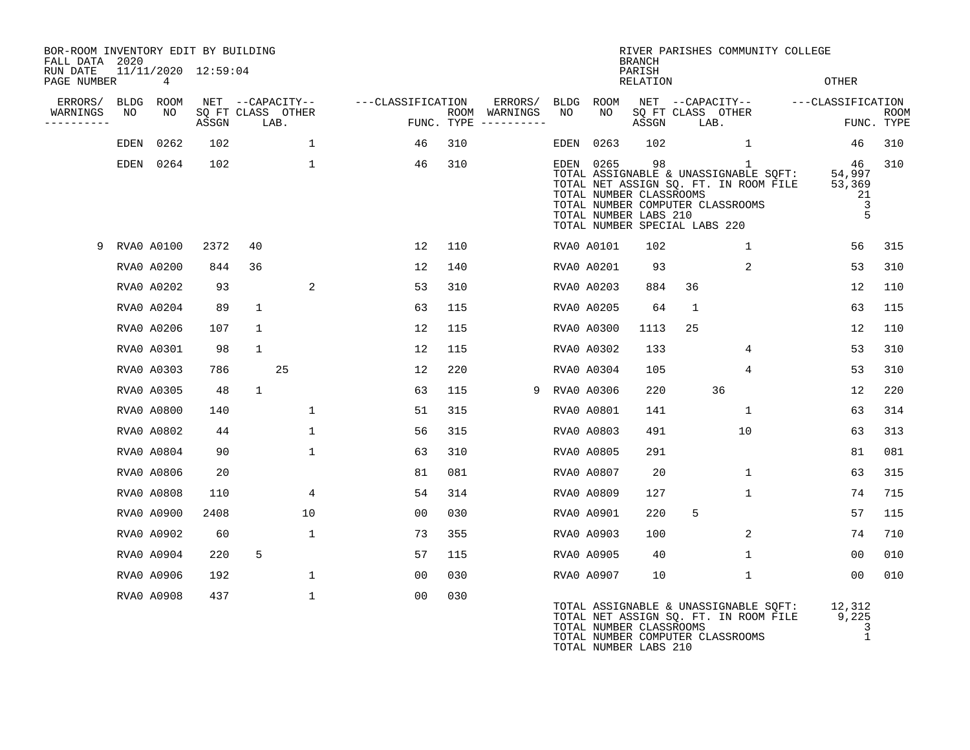| BOR-ROOM INVENTORY EDIT BY BUILDING<br>FALL DATA 2020 |                   |                          |       |              |                                       |                   |      |                     |            |                                                          | <b>BRANCH</b>      | RIVER PARISHES COMMUNITY COLLEGE                                                                                                                         |                                        |             |
|-------------------------------------------------------|-------------------|--------------------------|-------|--------------|---------------------------------------|-------------------|------|---------------------|------------|----------------------------------------------------------|--------------------|----------------------------------------------------------------------------------------------------------------------------------------------------------|----------------------------------------|-------------|
| RUN DATE<br>PAGE NUMBER                               |                   | 11/11/2020 12:59:04<br>4 |       |              |                                       |                   |      |                     |            |                                                          | PARISH<br>RELATION |                                                                                                                                                          | <b>OTHER</b>                           |             |
| ERRORS/<br>WARNINGS                                   | <b>BLDG</b><br>NO | ROOM<br>NO               |       |              | NET --CAPACITY--<br>SQ FT CLASS OTHER | ---CLASSIFICATION | ROOM | ERRORS/<br>WARNINGS | BLDG<br>NO | ROOM<br>NO                                               |                    | NET --CAPACITY--<br>SQ FT CLASS OTHER                                                                                                                    | ---CLASSIFICATION                      | <b>ROOM</b> |
| . <u>.</u> .                                          |                   |                          | ASSGN |              | LAB.                                  |                   |      | FUNC. TYPE $------$ |            |                                                          | ASSGN              | LAB.                                                                                                                                                     |                                        | FUNC. TYPE  |
|                                                       | EDEN              | 0262                     | 102   |              | $\mathbf{1}$                          | 46                | 310  |                     | EDEN       | 0263                                                     | 102                | $\mathbf{1}$                                                                                                                                             | 46                                     | 310         |
|                                                       |                   | EDEN 0264                | 102   |              | $\mathbf{1}$                          | 46                | 310  |                     | EDEN       | 0265<br>TOTAL NUMBER CLASSROOMS<br>TOTAL NUMBER LABS 210 | 98                 | 1<br>TOTAL ASSIGNABLE & UNASSIGNABLE SQFT:<br>TOTAL NET ASSIGN SQ. FT. IN ROOM FILE<br>TOTAL NUMBER COMPUTER CLASSROOMS<br>TOTAL NUMBER SPECIAL LABS 220 | 46<br>54,997<br>53,369<br>21<br>3<br>5 | 310         |
| 9                                                     |                   | <b>RVA0 A0100</b>        | 2372  | 40           |                                       | 12                | 110  |                     |            | RVA0 A0101                                               | 102                | 1                                                                                                                                                        | 56                                     | 315         |
|                                                       |                   | RVA0 A0200               | 844   | 36           |                                       | 12                | 140  |                     |            | RVA0 A0201                                               | 93                 | 2                                                                                                                                                        | 53                                     | 310         |
|                                                       |                   | RVA0 A0202               | 93    |              | $\overline{2}$                        | 53                | 310  |                     |            | RVA0 A0203                                               | 884                | 36                                                                                                                                                       | 12                                     | 110         |
|                                                       |                   | RVA0 A0204               | 89    | 1            |                                       | 63                | 115  |                     |            | RVA0 A0205                                               | 64                 | 1                                                                                                                                                        | 63                                     | 115         |
|                                                       |                   | RVA0 A0206               | 107   | $\mathbf{1}$ |                                       | 12                | 115  |                     |            | RVA0 A0300                                               | 1113               | 25                                                                                                                                                       | 12                                     | 110         |
|                                                       |                   | RVA0 A0301               | 98    | $\mathbf{1}$ |                                       | 12                | 115  |                     |            | RVA0 A0302                                               | 133                | 4                                                                                                                                                        | 53                                     | 310         |
|                                                       |                   | RVA0 A0303               | 786   |              | 25                                    | 12                | 220  |                     |            | RVA0 A0304                                               | 105                | 4                                                                                                                                                        | 53                                     | 310         |
|                                                       |                   | RVA0 A0305               | 48    | 1            |                                       | 63                | 115  | 9                   |            | RVA0 A0306                                               | 220                | 36                                                                                                                                                       | 12                                     | 220         |
|                                                       |                   | RVA0 A0800               | 140   |              | $\mathbf{1}$                          | 51                | 315  |                     |            | RVA0 A0801                                               | 141                | $\mathbf{1}$                                                                                                                                             | 63                                     | 314         |
|                                                       |                   | RVA0 A0802               | 44    |              | $\mathbf{1}$                          | 56                | 315  |                     |            | RVA0 A0803                                               | 491                | 10                                                                                                                                                       | 63                                     | 313         |
|                                                       |                   | RVA0 A0804               | 90    |              | $\mathbf{1}$                          | 63                | 310  |                     |            | RVA0 A0805                                               | 291                |                                                                                                                                                          | 81                                     | 081         |
|                                                       |                   | RVA0 A0806               | 20    |              |                                       | 81                | 081  |                     |            | RVA0 A0807                                               | 20                 | $\mathbf{1}$                                                                                                                                             | 63                                     | 315         |
|                                                       |                   | RVA0 A0808               | 110   |              | 4                                     | 54                | 314  |                     |            | RVA0 A0809                                               | 127                | $\mathbf 1$                                                                                                                                              | 74                                     | 715         |
|                                                       |                   | RVA0 A0900               | 2408  |              | 10                                    | 00                | 030  |                     |            | RVA0 A0901                                               | 220                | 5                                                                                                                                                        | 57                                     | 115         |
|                                                       |                   | RVA0 A0902               | 60    |              | $\mathbf{1}$                          | 73                | 355  |                     |            | RVA0 A0903                                               | 100                | 2                                                                                                                                                        | 74                                     | 710         |
|                                                       |                   | RVA0 A0904               | 220   | 5            |                                       | 57                | 115  |                     |            | RVA0 A0905                                               | 40                 | $\mathbf 1$                                                                                                                                              | 00                                     | 010         |
|                                                       |                   | RVA0 A0906               | 192   |              | $\mathbf{1}$                          | 00                | 030  |                     |            | RVA0 A0907                                               | 10                 | $\mathbf{1}$                                                                                                                                             | 00                                     | 010         |
|                                                       |                   | RVA0 A0908               | 437   |              | $\mathbf{1}$                          | 00                | 030  |                     |            |                                                          |                    | TOTAL ASSIGNABLE & UNASSIGNABLE SQFT:<br>TOTAL NET ASSIGN SQ. FT. IN ROOM FILE                                                                           | 12,312<br>9,225                        |             |

TOTAL NUMBER CLASSROOMS 3<br>TOTAL NUMBER COMPUTER CLASSROOMS 1 TOTAL NUMBER COMPUTER CLASSROOMS 1 TOTAL NUMBER LABS 210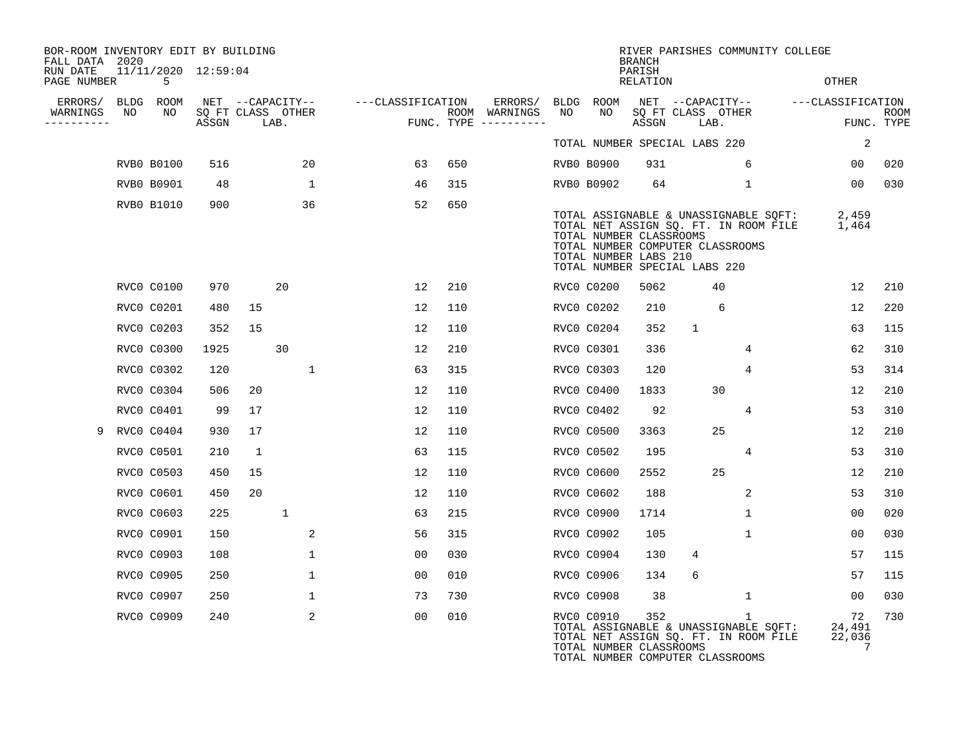| BOR-ROOM INVENTORY EDIT BY BUILDING<br>FALL DATA 2020 |    |                          |                            |              |      |                  |                   |                |     |                                      |    |                   | <b>BRANCH</b>                                                                                                         |                           |              | RIVER PARISHES COMMUNITY COLLEGE                                               |                                    |                    |
|-------------------------------------------------------|----|--------------------------|----------------------------|--------------|------|------------------|-------------------|----------------|-----|--------------------------------------|----|-------------------|-----------------------------------------------------------------------------------------------------------------------|---------------------------|--------------|--------------------------------------------------------------------------------|------------------------------------|--------------------|
| RUN DATE<br>PAGE NUMBER                               |    | 11/11/2020 12:59:04<br>5 |                            |              |      |                  |                   |                |     |                                      |    |                   | PARISH<br>RELATION                                                                                                    |                           |              |                                                                                | <b>OTHER</b>                       |                    |
| ERRORS/                                               |    | BLDG ROOM                |                            |              |      | NET --CAPACITY-- | ---CLASSIFICATION |                |     | ERRORS/                              |    | BLDG ROOM         |                                                                                                                       |                           |              |                                                                                | NET --CAPACITY-- ---CLASSIFICATION |                    |
| WARNINGS<br>.                                         | NO | NO                       | SQ FT CLASS OTHER<br>ASSGN |              | LAB. |                  |                   |                |     | ROOM WARNINGS<br>FUNC. TYPE $------$ | NO | NO.               | ASSGN                                                                                                                 | SQ FT CLASS OTHER<br>LAB. |              |                                                                                |                                    | ROOM<br>FUNC. TYPE |
|                                                       |    |                          |                            |              |      |                  |                   |                |     |                                      |    |                   | TOTAL NUMBER SPECIAL LABS 220                                                                                         |                           |              |                                                                                | 2                                  |                    |
|                                                       |    | <b>RVB0 B0100</b>        | 516                        |              |      | 20               |                   | 63             | 650 |                                      |    | RVB0 B0900        | 931                                                                                                                   |                           | 6            |                                                                                | 00 <sub>o</sub>                    | 020                |
|                                                       |    | <b>RVB0 B0901</b>        | 48                         |              |      | 1                |                   | 46             | 315 |                                      |    | RVB0 B0902        | 64                                                                                                                    |                           | $\mathbf 1$  |                                                                                | 00 <sub>o</sub>                    | 030                |
|                                                       |    | RVB0 B1010               | 900                        |              |      | 36               |                   | 52             | 650 |                                      |    |                   | TOTAL NUMBER CLASSROOMS<br>TOTAL NUMBER COMPUTER CLASSROOMS<br>TOTAL NUMBER LABS 210<br>TOTAL NUMBER SPECIAL LABS 220 |                           |              | TOTAL ASSIGNABLE & UNASSIGNABLE SQFT:<br>TOTAL NET ASSIGN SQ. FT. IN ROOM FILE | 2,459<br>1,464                     |                    |
|                                                       |    | <b>RVC0 C0100</b>        | 970                        |              | 20   |                  |                   | 12             | 210 |                                      |    | RVC0 C0200        | 5062                                                                                                                  |                           | 40           |                                                                                | 12                                 | 210                |
|                                                       |    | RVC0 C0201               | 480                        | 15           |      |                  |                   | 12             | 110 |                                      |    | RVC0 C0202        | 210                                                                                                                   |                           | 6            |                                                                                | 12                                 | 220                |
|                                                       |    | RVC0 C0203               | 352                        | 15           |      |                  |                   | 12             | 110 |                                      |    | RVC0 C0204        | 352                                                                                                                   | $\mathbf{1}$              |              |                                                                                | 63                                 | 115                |
|                                                       |    | RVC0 C0300               | 1925                       |              | 30   |                  |                   | 12             | 210 |                                      |    | RVC0 C0301        | 336                                                                                                                   |                           | 4            |                                                                                | 62                                 | 310                |
|                                                       |    | RVC0 C0302               | 120                        |              |      | $\mathbf{1}$     |                   | 63             | 315 |                                      |    | RVC0 C0303        | 120                                                                                                                   |                           | 4            |                                                                                | 53                                 | 314                |
|                                                       |    | RVC0 C0304               | 506                        | 20           |      |                  |                   | 12             | 110 |                                      |    | RVC0 C0400        | 1833                                                                                                                  |                           | 30           |                                                                                | 12                                 | 210                |
|                                                       |    | RVC0 C0401               | 99                         | 17           |      |                  |                   | 12             | 110 |                                      |    | RVC0 C0402        | 92                                                                                                                    |                           | 4            |                                                                                | 53                                 | 310                |
| 9                                                     |    | RVC0 C0404               | 930                        | 17           |      |                  |                   | 12             | 110 |                                      |    | <b>RVCO C0500</b> | 3363                                                                                                                  |                           | 25           |                                                                                | $12 \overline{ }$                  | 210                |
|                                                       |    | <b>RVC0 C0501</b>        | 210                        | $\mathbf{1}$ |      |                  |                   | 63             | 115 |                                      |    | RVC0 C0502        | 195                                                                                                                   |                           | 4            |                                                                                | 53                                 | 310                |
|                                                       |    | RVC0 C0503               | 450                        | 15           |      |                  |                   | 12             | 110 |                                      |    | <b>RVCO C0600</b> | 2552                                                                                                                  |                           | 25           |                                                                                | 12                                 | 210                |
|                                                       |    | <b>RVC0 C0601</b>        | 450                        | 20           |      |                  |                   | 12             | 110 |                                      |    | RVC0 C0602        | 188                                                                                                                   |                           | 2            |                                                                                | 53                                 | 310                |
|                                                       |    | RVC0 C0603               | 225                        |              | 1    |                  |                   | 63             | 215 |                                      |    | <b>RVCO C0900</b> | 1714                                                                                                                  |                           | $\mathbf{1}$ |                                                                                | 00                                 | 020                |
|                                                       |    | <b>RVC0 C0901</b>        | 150                        |              |      | 2                |                   | 56             | 315 |                                      |    | RVC0 C0902        | 105                                                                                                                   |                           | $\mathbf{1}$ |                                                                                | 00                                 | 030                |
|                                                       |    | RVC0 C0903               | 108                        |              |      | $\mathbf{1}$     |                   | 00             | 030 |                                      |    | RVC0 C0904        | 130                                                                                                                   | 4                         |              |                                                                                | 57                                 | 115                |
|                                                       |    | <b>RVCO C0905</b>        | 250                        |              |      | $\mathbf{1}$     |                   | 00             | 010 |                                      |    | RVC0 C0906        | 134                                                                                                                   | 6                         |              |                                                                                | 57                                 | 115                |
|                                                       |    | RVC0 C0907               | 250                        |              |      | $\mathbf{1}$     |                   | 73             | 730 |                                      |    | RVC0 C0908        | 38                                                                                                                    |                           | 1            |                                                                                | 00                                 | 030                |
|                                                       |    | RVC0 C0909               | 240                        |              |      | 2                |                   | 0 <sub>0</sub> | 010 |                                      |    | RVC0 C0910        | 352<br>TOTAL NUMBER CLASSROOMS<br>TOTAL NUMBER COMPUTER CLASSROOMS                                                    |                           | $\mathbf{1}$ | TOTAL ASSIGNABLE & UNASSIGNABLE SQFT:<br>TOTAL NET ASSIGN SQ. FT. IN ROOM FILE | 72<br>24,491<br>22,036<br>7        | 730                |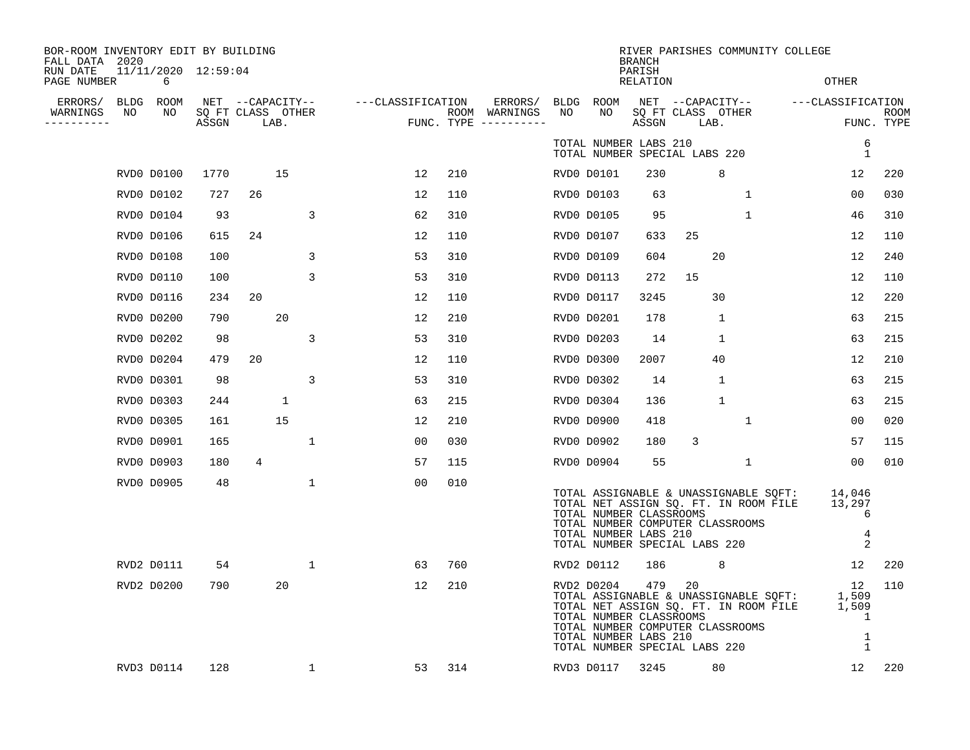| BOR-ROOM INVENTORY EDIT BY BUILDING<br>FALL DATA 2020 |                          |                            |                  |      |              |                   |     |                                      |    |                                                                | <b>BRANCH</b>             | RIVER PARISHES COMMUNITY COLLEGE                                                                                                                          |              |                                               |                           |
|-------------------------------------------------------|--------------------------|----------------------------|------------------|------|--------------|-------------------|-----|--------------------------------------|----|----------------------------------------------------------------|---------------------------|-----------------------------------------------------------------------------------------------------------------------------------------------------------|--------------|-----------------------------------------------|---------------------------|
| RUN DATE<br>PAGE NUMBER                               | 11/11/2020 12:59:04<br>6 |                            |                  |      |              |                   |     |                                      |    |                                                                | PARISH<br><b>RELATION</b> |                                                                                                                                                           |              | <b>OTHER</b>                                  |                           |
| ERRORS/<br>BLDG                                       | ROOM                     |                            | NET --CAPACITY-- |      |              | ---CLASSIFICATION |     | ERRORS/                              |    | BLDG ROOM                                                      |                           | NET --CAPACITY--                                                                                                                                          |              | ---CLASSIFICATION                             |                           |
| WARNINGS<br>NO<br>----------                          | NO                       | SQ FT CLASS OTHER<br>ASSGN |                  | LAB. |              |                   |     | ROOM WARNINGS<br>FUNC. TYPE $------$ | NO | NO                                                             | ASSGN                     | SQ FT CLASS OTHER<br>LAB.                                                                                                                                 |              |                                               | <b>ROOM</b><br>FUNC. TYPE |
|                                                       |                          |                            |                  |      |              |                   |     |                                      |    | TOTAL NUMBER LABS 210                                          |                           | TOTAL NUMBER SPECIAL LABS 220                                                                                                                             |              | 1                                             | 6                         |
|                                                       | RVD0 D0100               | 1770                       |                  | 15   |              | 12                | 210 |                                      |    | RVD0 D0101                                                     | 230                       | 8                                                                                                                                                         |              | 12                                            | 220                       |
|                                                       | RVD0 D0102               | 727                        | 26               |      |              | 12                | 110 |                                      |    | RVD0 D0103                                                     | 63                        |                                                                                                                                                           | $\mathbf 1$  | 0 <sub>0</sub>                                | 030                       |
|                                                       | RVD0 D0104               | 93                         |                  |      | 3            | 62                | 310 |                                      |    | RVD0 D0105                                                     | 95                        |                                                                                                                                                           | $\mathbf 1$  | 46                                            | 310                       |
|                                                       | RVD0 D0106               | 615                        | 24               |      |              | 12                | 110 |                                      |    | RVD0 D0107                                                     | 633                       | 25                                                                                                                                                        |              | 12                                            | 110                       |
|                                                       | RVD0 D0108               | 100                        |                  |      | 3            | 53                | 310 |                                      |    | RVD0 D0109                                                     | 604                       | 20                                                                                                                                                        |              | 12                                            | 240                       |
|                                                       | RVD0 D0110               | 100                        |                  |      | 3            | 53                | 310 |                                      |    | RVD0 D0113                                                     | 272                       | 15                                                                                                                                                        |              | 12                                            | 110                       |
|                                                       | RVD0 D0116               | 234                        | 20               |      |              | 12                | 110 |                                      |    | RVD0 D0117                                                     | 3245                      | 30                                                                                                                                                        |              | 12                                            | 220                       |
|                                                       | RVD0 D0200               | 790                        |                  | 20   |              | 12                | 210 |                                      |    | RVD0 D0201                                                     | 178                       | 1                                                                                                                                                         |              | 63                                            | 215                       |
|                                                       | RVD0 D0202               | 98                         |                  |      | 3            | 53                | 310 |                                      |    | RVD0 D0203                                                     | 14                        | $\mathbf{1}$                                                                                                                                              |              | 63                                            | 215                       |
|                                                       | RVD0 D0204               | 479                        | 20               |      |              | 12                | 110 |                                      |    | RVD0 D0300                                                     | 2007                      | 40                                                                                                                                                        |              | 12                                            | 210                       |
|                                                       | RVD0 D0301               | 98                         |                  |      | 3            | 53                | 310 |                                      |    | RVD0 D0302                                                     | 14                        | $\mathbf{1}$                                                                                                                                              |              | 63                                            | 215                       |
|                                                       | RVD0 D0303               | 244                        |                  | 1    |              | 63                | 215 |                                      |    | RVD0 D0304                                                     | 136                       | $\mathbf{1}$                                                                                                                                              |              | 63                                            | 215                       |
|                                                       | RVD0 D0305               | 161                        |                  | 15   |              | 12                | 210 |                                      |    | RVD0 D0900                                                     | 418                       |                                                                                                                                                           | $\mathbf{1}$ | 0 <sub>0</sub>                                | 020                       |
|                                                       | RVD0 D0901               | 165                        |                  |      | $\mathbf{1}$ | 00                | 030 |                                      |    | RVD0 D0902                                                     | 180                       | 3                                                                                                                                                         |              | 57                                            | 115                       |
|                                                       | RVD0 D0903               | 180                        | 4                |      |              | 57                | 115 |                                      |    | RVD0 D0904                                                     | 55                        |                                                                                                                                                           | 1            | 00                                            | 010                       |
|                                                       | RVD0 D0905               | 48                         |                  |      | $\mathbf{1}$ | 0 <sub>0</sub>    | 010 |                                      |    | TOTAL NUMBER CLASSROOMS<br>TOTAL NUMBER LABS 210               |                           | TOTAL ASSIGNABLE & UNASSIGNABLE SQFT:<br>TOTAL NET ASSIGN SQ. FT. IN ROOM FILE<br>TOTAL NUMBER COMPUTER CLASSROOMS<br>TOTAL NUMBER SPECIAL LABS 220       |              | 14,046<br>13,297<br>$\overline{2}$            | 6<br>4                    |
|                                                       | RVD2 D0111               | 54                         |                  |      | $\mathbf{1}$ | 63                | 760 |                                      |    | RVD2 D0112                                                     | 186                       | 8                                                                                                                                                         |              | $12 \overline{ }$                             | 220                       |
|                                                       | RVD2 D0200               | 790                        |                  | 20   |              | 12                | 210 |                                      |    | RVD2 D0204<br>TOTAL NUMBER CLASSROOMS<br>TOTAL NUMBER LABS 210 | 479                       | 20<br>TOTAL ASSIGNABLE & UNASSIGNABLE SQFT:<br>TOTAL NET ASSIGN SQ. FT. IN ROOM FILE<br>TOTAL NUMBER COMPUTER CLASSROOMS<br>TOTAL NUMBER SPECIAL LABS 220 |              | 12<br>1,509<br>1,509<br>1<br>1<br>$\mathbf 1$ | 110                       |
|                                                       | RVD3 D0114               | 128                        |                  |      | 1            | 53                | 314 |                                      |    | RVD3 D0117                                                     | 3245                      | 80                                                                                                                                                        |              | 12                                            | 220                       |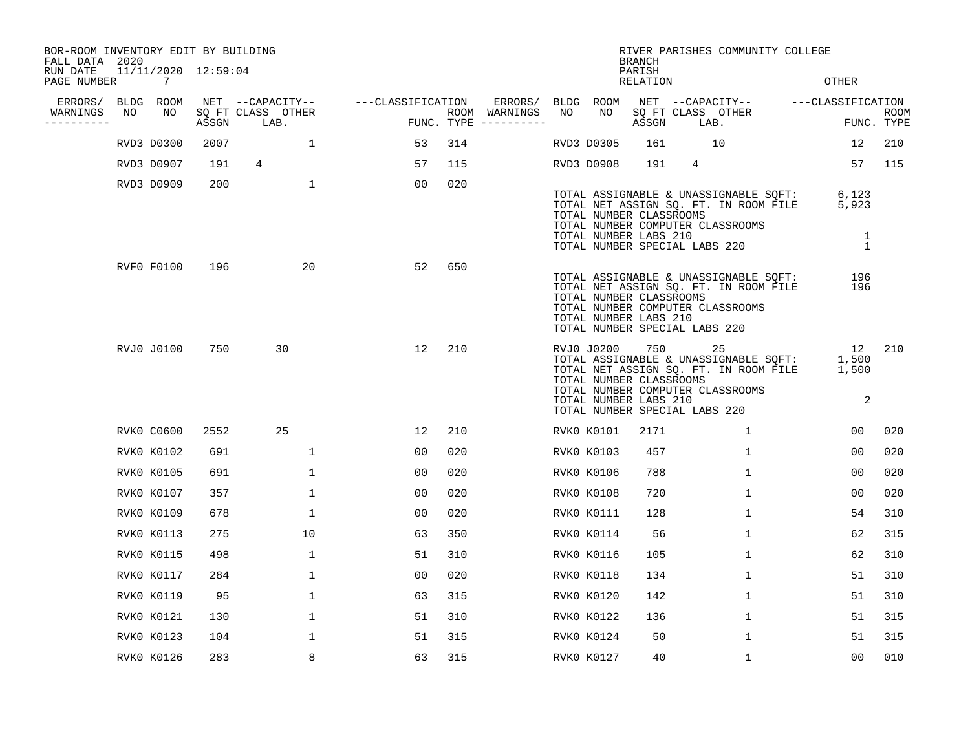| BOR-ROOM INVENTORY EDIT BY BUILDING<br>FALL DATA 2020 |    |                                       |       |                           |              |                   |                |     |                                        |    |                                                                                                 | <b>BRANCH</b>             |                 | RIVER PARISHES COMMUNITY COLLEGE                                                                                                                    |                                     |             |
|-------------------------------------------------------|----|---------------------------------------|-------|---------------------------|--------------|-------------------|----------------|-----|----------------------------------------|----|-------------------------------------------------------------------------------------------------|---------------------------|-----------------|-----------------------------------------------------------------------------------------------------------------------------------------------------|-------------------------------------|-------------|
| RUN DATE<br>PAGE NUMBER                               |    | 11/11/2020 12:59:04<br>$\overline{7}$ |       |                           |              |                   |                |     |                                        |    |                                                                                                 | PARISH<br><b>RELATION</b> |                 |                                                                                                                                                     | <b>OTHER</b>                        |             |
| ERRORS/ BLDG ROOM                                     |    |                                       |       | NET --CAPACITY--          |              | ---CLASSIFICATION |                |     | ERRORS/ BLDG ROOM                      |    |                                                                                                 |                           |                 | NET --CAPACITY-- - ---CLASSIFICATION                                                                                                                |                                     |             |
| WARNINGS<br>----------                                | NO | NO                                    | ASSGN | SQ FT CLASS OTHER<br>LAB. |              |                   |                |     | ROOM WARNINGS<br>FUNC. TYPE ---------- | NO | NO                                                                                              | ASSGN                     |                 | SQ FT CLASS OTHER<br>LAB.                                                                                                                           | FUNC. TYPE                          | <b>ROOM</b> |
|                                                       |    | RVD3 D0300                            | 2007  |                           | $\mathbf{1}$ |                   | 53             | 314 |                                        |    | RVD3 D0305                                                                                      | 161                       |                 | 10                                                                                                                                                  | 12                                  | 210         |
|                                                       |    | RVD3 D0907                            | 191   | $\overline{4}$            |              |                   | 57             | 115 |                                        |    | RVD3 D0908                                                                                      | 191                       | $4\overline{ }$ |                                                                                                                                                     | 57                                  | 115         |
|                                                       |    | RVD3 D0909                            | 200   |                           | $\mathbf 1$  |                   | 00             | 020 |                                        |    | TOTAL NUMBER CLASSROOMS<br>TOTAL NUMBER LABS 210                                                |                           |                 | TOTAL ASSIGNABLE & UNASSIGNABLE SQFT:<br>TOTAL NET ASSIGN SQ. FT. IN ROOM FILE<br>TOTAL NUMBER COMPUTER CLASSROOMS<br>TOTAL NUMBER SPECIAL LABS 220 | 6,123<br>5,923<br>1<br>$\mathbf{1}$ |             |
|                                                       |    | RVF0 F0100                            | 196   |                           | 20           |                   | 52             | 650 |                                        |    | TOTAL NUMBER CLASSROOMS<br>TOTAL NUMBER LABS 210<br>TOTAL NUMBER SPECIAL LABS 220               |                           |                 | TOTAL ASSIGNABLE & UNASSIGNABLE SQFT:<br>TOTAL NET ASSIGN SQ. FT. IN ROOM FILE<br>TOTAL NUMBER COMPUTER CLASSROOMS                                  | 196<br>196                          |             |
|                                                       |    | RVJ0 J0100                            | 750   | 30                        |              |                   | 12             | 210 |                                        |    | RVJ0 J0200<br>TOTAL NUMBER CLASSROOMS<br>TOTAL NUMBER LABS 210<br>TOTAL NUMBER SPECIAL LABS 220 |                           |                 | 25<br>TOTAL ASSIGNABLE & UNASSIGNABLE SQFT:<br>TOTAL NET ASSIGN SQ. FT. IN ROOM FILE<br>TOTAL NUMBER COMPUTER CLASSROOMS                            | 12<br>1,500<br>1,500<br>2           | 210         |
|                                                       |    | <b>RVK0 C0600</b>                     | 2552  | 25                        |              |                   | 12             | 210 |                                        |    | RVK0 K0101                                                                                      | 2171                      |                 | $\mathbf{1}$                                                                                                                                        | 00                                  | 020         |
|                                                       |    | RVK0 K0102                            | 691   |                           | $\mathbf{1}$ |                   | 0 <sub>0</sub> | 020 |                                        |    | RVK0 K0103                                                                                      | 457                       |                 | $\mathbf{1}$                                                                                                                                        | 00                                  | 020         |
|                                                       |    | <b>RVK0 K0105</b>                     | 691   |                           | $\mathbf{1}$ |                   | 0 <sub>0</sub> | 020 |                                        |    | <b>RVK0 K0106</b>                                                                               | 788                       |                 | $\mathbf{1}$                                                                                                                                        | 0 <sub>0</sub>                      | 020         |
|                                                       |    | RVK0 K0107                            | 357   |                           | $\mathbf 1$  |                   | 00             | 020 |                                        |    | RVK0 K0108                                                                                      | 720                       |                 | $\mathbf{1}$                                                                                                                                        | 0 <sub>0</sub>                      | 020         |
|                                                       |    | <b>RVK0 K0109</b>                     | 678   |                           | 1            |                   | 0 <sub>0</sub> | 020 |                                        |    | RVK0 K0111                                                                                      | 128                       |                 | 1                                                                                                                                                   | 54                                  | 310         |
|                                                       |    | RVK0 K0113                            | 275   |                           | 10           |                   | 63             | 350 |                                        |    | RVK0 K0114                                                                                      | 56                        |                 | $\mathbf 1$                                                                                                                                         | 62                                  | 315         |
|                                                       |    | RVK0 K0115                            | 498   |                           | 1            |                   | 51             | 310 |                                        |    | RVK0 K0116                                                                                      | 105                       |                 | 1                                                                                                                                                   | 62                                  | 310         |
|                                                       |    | RVK0 K0117                            | 284   |                           | $\mathbf{1}$ |                   | 0 <sub>0</sub> | 020 |                                        |    | RVK0 K0118                                                                                      | 134                       |                 | $\mathbf{1}$                                                                                                                                        | 51                                  | 310         |
|                                                       |    | <b>RVK0 K0119</b>                     | 95    |                           | $\mathbf 1$  |                   | 63             | 315 |                                        |    | RVK0 K0120                                                                                      | 142                       |                 | $\mathbf 1$                                                                                                                                         | 51                                  | 310         |
|                                                       |    | RVK0 K0121                            | 130   |                           | $\mathbf{1}$ |                   | 51             | 310 |                                        |    | RVK0 K0122                                                                                      | 136                       |                 | $\mathbf{1}$                                                                                                                                        | 51                                  | 315         |
|                                                       |    | RVK0 K0123                            | 104   |                           | $\mathbf 1$  |                   | 51             | 315 |                                        |    | RVK0 K0124                                                                                      | 50                        |                 | $\mathbf 1$                                                                                                                                         | 51                                  | 315         |
|                                                       |    | RVK0 K0126                            | 283   |                           | 8            |                   | 63             | 315 |                                        |    | RVK0 K0127                                                                                      | 40                        |                 | $\mathbf{1}$                                                                                                                                        | 0 <sub>0</sub>                      | 010         |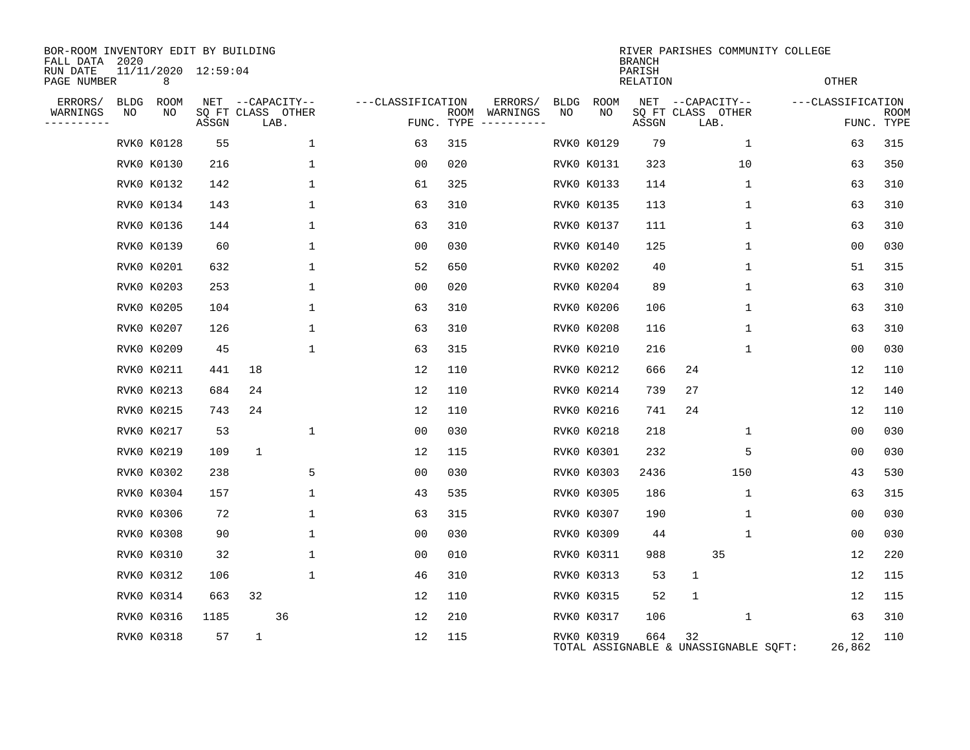| BOR-ROOM INVENTORY EDIT BY BUILDING<br>FALL DATA | 2020        |                          |       |              |                           |                   |                    |                         |             |             | <b>BRANCH</b>      | RIVER PARISHES COMMUNITY COLLEGE            |                   |                           |
|--------------------------------------------------|-------------|--------------------------|-------|--------------|---------------------------|-------------------|--------------------|-------------------------|-------------|-------------|--------------------|---------------------------------------------|-------------------|---------------------------|
| RUN DATE<br>PAGE NUMBER                          |             | 11/11/2020 12:59:04<br>8 |       |              |                           |                   |                    |                         |             |             | PARISH<br>RELATION |                                             | <b>OTHER</b>      |                           |
| ERRORS/                                          | <b>BLDG</b> | <b>ROOM</b>              |       |              | NET --CAPACITY--          | ---CLASSIFICATION |                    | ERRORS/                 | <b>BLDG</b> | <b>ROOM</b> |                    | NET --CAPACITY--                            | ---CLASSIFICATION |                           |
| WARNINGS                                         | NO          | NO                       | ASSGN |              | SQ FT CLASS OTHER<br>LAB. |                   | ROOM<br>FUNC. TYPE | WARNINGS<br>----------- | NO          | NO          | ASSGN              | SQ FT CLASS OTHER<br>LAB.                   |                   | <b>ROOM</b><br>FUNC. TYPE |
|                                                  |             | RVK0 K0128               | 55    |              | 1                         | 63                | 315                |                         |             | RVK0 K0129  | 79                 | $\mathbf 1$                                 | 63                | 315                       |
|                                                  |             | RVK0 K0130               | 216   |              | 1                         | 00                | 020                |                         |             | RVK0 K0131  | 323                | 10                                          | 63                | 350                       |
|                                                  |             | RVK0 K0132               | 142   |              | 1                         | 61                | 325                |                         |             | RVK0 K0133  | 114                | 1                                           | 63                | 310                       |
|                                                  |             | RVK0 K0134               | 143   |              | 1                         | 63                | 310                |                         |             | RVK0 K0135  | 113                | 1                                           | 63                | 310                       |
|                                                  |             | RVK0 K0136               | 144   |              | 1                         | 63                | 310                |                         |             | RVK0 K0137  | 111                | 1                                           | 63                | 310                       |
|                                                  |             | RVK0 K0139               | 60    |              | 1                         | 0 <sub>0</sub>    | 030                |                         |             | RVK0 K0140  | 125                | 1                                           | 0 <sub>0</sub>    | 030                       |
|                                                  |             | RVK0 K0201               | 632   |              | 1                         | 52                | 650                |                         |             | RVK0 K0202  | 40                 | 1                                           | 51                | 315                       |
|                                                  |             | RVK0 K0203               | 253   |              | 1                         | 0 <sub>0</sub>    | 020                |                         |             | RVK0 K0204  | 89                 | $\mathbf 1$                                 | 63                | 310                       |
|                                                  |             | RVK0 K0205               | 104   |              | 1                         | 63                | 310                |                         |             | RVK0 K0206  | 106                | 1                                           | 63                | 310                       |
|                                                  |             | RVK0 K0207               | 126   |              | 1                         | 63                | 310                |                         |             | RVK0 K0208  | 116                | $\mathbf 1$                                 | 63                | 310                       |
|                                                  |             | RVK0 K0209               | 45    |              | 1                         | 63                | 315                |                         |             | RVK0 K0210  | 216                | 1                                           | 00                | 030                       |
|                                                  |             | RVK0 K0211               | 441   | 18           |                           | 12                | 110                |                         |             | RVK0 K0212  | 666                | 24                                          | 12                | 110                       |
|                                                  |             | RVK0 K0213               | 684   | 24           |                           | 12                | 110                |                         |             | RVK0 K0214  | 739                | 27                                          | 12                | 140                       |
|                                                  |             | RVK0 K0215               | 743   | 24           |                           | 12                | 110                |                         |             | RVK0 K0216  | 741                | 24                                          | 12                | 110                       |
|                                                  |             | RVK0 K0217               | 53    |              | 1                         | 0 <sub>0</sub>    | 030                |                         |             | RVK0 K0218  | 218                | 1                                           | 0 <sub>0</sub>    | 030                       |
|                                                  |             | RVK0 K0219               | 109   | 1            |                           | 12                | 115                |                         |             | RVK0 K0301  | 232                | 5                                           | 00                | 030                       |
|                                                  |             | RVK0 K0302               | 238   |              | 5                         | 0 <sub>0</sub>    | 030                |                         |             | RVK0 K0303  | 2436               | 150                                         | 43                | 530                       |
|                                                  |             | RVK0 K0304               | 157   |              | 1                         | 43                | 535                |                         |             | RVK0 K0305  | 186                | 1                                           | 63                | 315                       |
|                                                  |             | RVK0 K0306               | 72    |              | 1                         | 63                | 315                |                         |             | RVK0 K0307  | 190                | 1                                           | 0 <sub>0</sub>    | 030                       |
|                                                  |             | RVK0 K0308               | 90    |              | 1                         | 00                | 030                |                         |             | RVK0 K0309  | 44                 | 1                                           | 00                | 030                       |
|                                                  |             | RVK0 K0310               | 32    |              | 1                         | 0 <sub>0</sub>    | 010                |                         |             | RVK0 K0311  | 988                | 35                                          | 12                | 220                       |
|                                                  |             | RVK0 K0312               | 106   |              | $\mathbf{1}$              | 46                | 310                |                         |             | RVK0 K0313  | 53                 | $\mathbf{1}$                                | 12                | 115                       |
|                                                  |             | RVK0 K0314               | 663   | 32           |                           | 12                | 110                |                         |             | RVK0 K0315  | 52                 | 1                                           | 12                | 115                       |
|                                                  |             | RVK0 K0316               | 1185  |              | 36                        | 12                | 210                |                         |             | RVK0 K0317  | 106                | 1                                           | 63                | 310                       |
|                                                  |             | RVK0 K0318               | 57    | $\mathbf{1}$ |                           | 12                | 115                |                         |             | RVK0 K0319  | 664                | 32<br>TOTAL ASSIGNABLE & UNASSIGNABLE SQFT: | 12<br>26,862      | 110                       |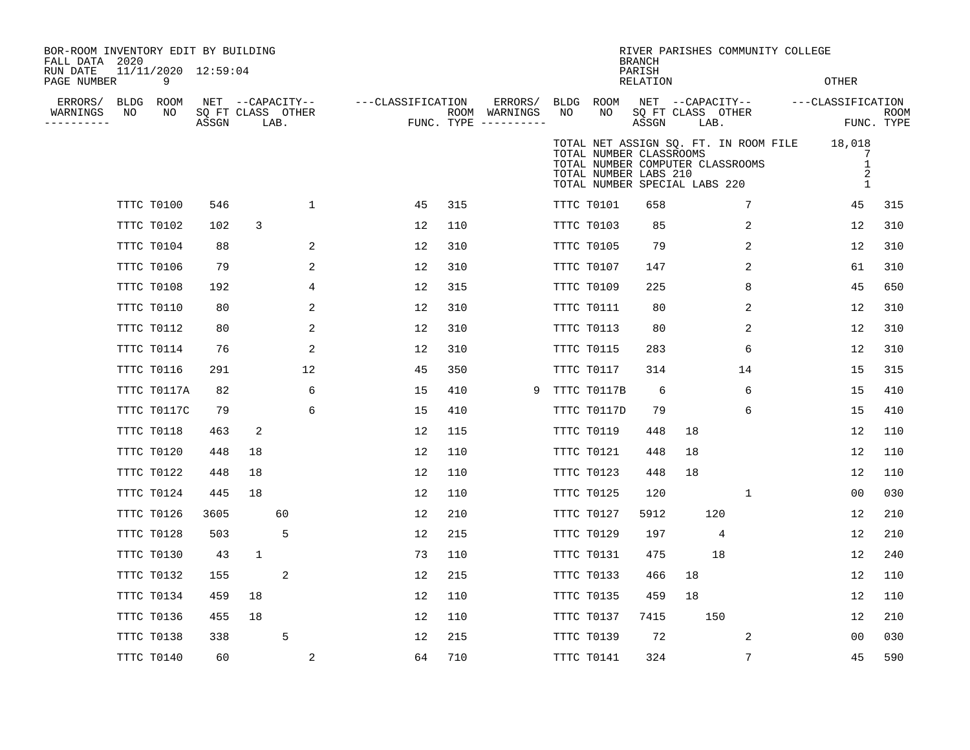| BOR-ROOM INVENTORY EDIT BY BUILDING<br>FALL DATA 2020<br>RUN DATE | 11/11/2020 12:59:04 |       |              |                                               |                   |     |                                                   |    |                                                  | <b>BRANCH</b><br>PARISH |                                                                   |                                       | RIVER PARISHES COMMUNITY COLLEGE |                             |
|-------------------------------------------------------------------|---------------------|-------|--------------|-----------------------------------------------|-------------------|-----|---------------------------------------------------|----|--------------------------------------------------|-------------------------|-------------------------------------------------------------------|---------------------------------------|----------------------------------|-----------------------------|
| PAGE NUMBER                                                       | 9                   |       |              |                                               |                   |     |                                                   |    |                                                  | RELATION                |                                                                   |                                       | <b>OTHER</b>                     |                             |
| ERRORS/<br>NO<br>WARNINGS<br>--------                             | BLDG ROOM<br>NO     | ASSGN |              | NET --CAPACITY--<br>SQ FT CLASS OTHER<br>LAB. | ---CLASSIFICATION |     | ERRORS/<br>ROOM WARNINGS<br>FUNC. TYPE ---------- | NO | BLDG ROOM<br>NO                                  | ASSGN                   | SQ FT CLASS OTHER<br>LAB.                                         | NET --CAPACITY--                      | ---CLASSIFICATION                | ROOM<br>FUNC. TYPE          |
|                                                                   |                     |       |              |                                               |                   |     |                                                   |    | TOTAL NUMBER CLASSROOMS<br>TOTAL NUMBER LABS 210 |                         | TOTAL NUMBER COMPUTER CLASSROOMS<br>TOTAL NUMBER SPECIAL LABS 220 | TOTAL NET ASSIGN SQ. FT. IN ROOM FILE | 18,018                           | 7<br>$\mathbf{1}$<br>2<br>1 |
|                                                                   | TTTC T0100          | 546   |              | $\mathbf 1$                                   | 45                | 315 |                                                   |    | TTTC T0101                                       | 658                     |                                                                   | 7                                     | 45                               | 315                         |
|                                                                   | TTTC T0102          | 102   | 3            |                                               | 12                | 110 |                                                   |    | TTTC T0103                                       | 85                      |                                                                   | 2                                     | 12                               | 310                         |
|                                                                   | TTTC T0104          | 88    |              | 2                                             | 12                | 310 |                                                   |    | TTTC T0105                                       | 79                      |                                                                   | 2                                     | 12                               | 310                         |
|                                                                   | TTTC T0106          | 79    |              | 2                                             | 12                | 310 |                                                   |    | TTTC T0107                                       | 147                     |                                                                   | 2                                     | 61                               | 310                         |
|                                                                   | TTTC T0108          | 192   |              | 4                                             | 12                | 315 |                                                   |    | TTTC T0109                                       | 225                     |                                                                   | 8                                     | 45                               | 650                         |
|                                                                   | TTTC T0110          | 80    |              | 2                                             | 12                | 310 |                                                   |    | TTTC T0111                                       | 80                      |                                                                   | 2                                     | 12                               | 310                         |
|                                                                   | TTTC T0112          | 80    |              | 2                                             | 12                | 310 |                                                   |    | TTTC T0113                                       | 80                      |                                                                   | 2                                     | 12                               | 310                         |
|                                                                   | TTTC T0114          | 76    |              | 2                                             | 12                | 310 |                                                   |    | TTTC T0115                                       | 283                     |                                                                   | 6                                     | 12                               | 310                         |
|                                                                   | TTTC T0116          | 291   |              | 12                                            | 45                | 350 |                                                   |    | TTTC T0117                                       | 314                     |                                                                   | 14                                    | 15                               | 315                         |
|                                                                   | TTTC T0117A         | 82    |              | 6                                             | 15                | 410 | 9                                                 |    | TTTC T0117B                                      | 6                       |                                                                   | 6                                     | 15                               | 410                         |
|                                                                   | TTTC T0117C         | 79    |              | 6                                             | 15                | 410 |                                                   |    | TTTC T0117D                                      | 79                      |                                                                   | 6                                     | 15                               | 410                         |
|                                                                   | TTTC T0118          | 463   | 2            |                                               | 12                | 115 |                                                   |    | TTTC T0119                                       | 448                     | 18                                                                |                                       | 12                               | 110                         |
|                                                                   | TTTC T0120          | 448   | 18           |                                               | 12                | 110 |                                                   |    | TTTC T0121                                       | 448                     | 18                                                                |                                       | 12                               | 110                         |
|                                                                   | TTTC T0122          | 448   | 18           |                                               | 12                | 110 |                                                   |    | TTTC T0123                                       | 448                     | 18                                                                |                                       | 12                               | 110                         |
|                                                                   | TTTC T0124          | 445   | 18           |                                               | 12                | 110 |                                                   |    | TTTC T0125                                       | 120                     |                                                                   | 1                                     | 00                               | 030                         |
|                                                                   | TTTC T0126          | 3605  |              | 60                                            | 12                | 210 |                                                   |    | TTTC T0127                                       | 5912                    | 120                                                               |                                       | 12                               | 210                         |
|                                                                   | TTTC T0128          | 503   |              | 5                                             | 12                | 215 |                                                   |    | TTTC T0129                                       | 197                     |                                                                   | 4                                     | 12                               | 210                         |
|                                                                   | TTTC T0130          | 43    | $\mathbf{1}$ |                                               | 73                | 110 |                                                   |    | TTTC T0131                                       | 475                     | 18                                                                |                                       | 12                               | 240                         |
|                                                                   | TTTC T0132          | 155   |              | 2                                             | 12                | 215 |                                                   |    | TTTC T0133                                       | 466                     | 18                                                                |                                       | 12                               | 110                         |
|                                                                   | TTTC T0134          | 459   | 18           |                                               | 12                | 110 |                                                   |    | TTTC T0135                                       | 459                     | 18                                                                |                                       | 12                               | 110                         |
|                                                                   | TTTC T0136          | 455   | 18           |                                               | 12                | 110 |                                                   |    | TTTC T0137                                       | 7415                    | 150                                                               |                                       | 12                               | 210                         |
|                                                                   | TTTC T0138          | 338   |              | 5                                             | 12                | 215 |                                                   |    | TTTC T0139                                       | 72                      |                                                                   | 2                                     | 00                               | 030                         |
|                                                                   | TTTC T0140          | 60    |              | $\overline{2}$                                | 64                | 710 |                                                   |    | TTTC T0141                                       | 324                     |                                                                   | 7                                     | 45                               | 590                         |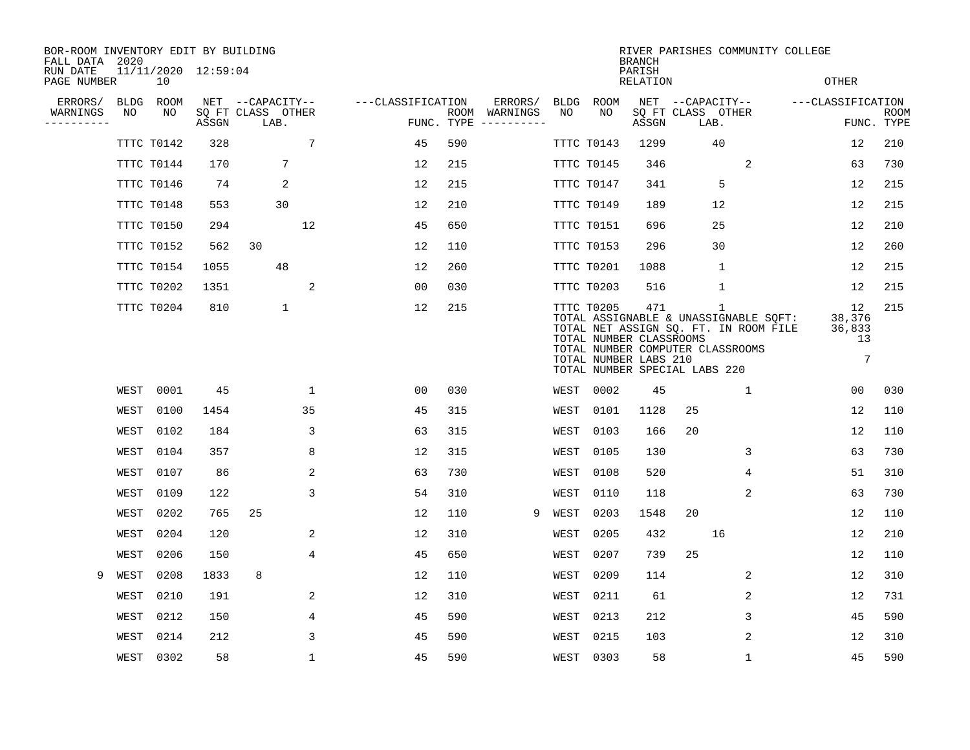| BOR-ROOM INVENTORY EDIT BY BUILDING<br>FALL DATA 2020 |      |            |                     |                           |             |                   |     |                                      |      |            | <b>BRANCH</b>                                                                            |      | RIVER PARISHES COMMUNITY COLLEGE                                                                                                   |                                                 |                           |
|-------------------------------------------------------|------|------------|---------------------|---------------------------|-------------|-------------------|-----|--------------------------------------|------|------------|------------------------------------------------------------------------------------------|------|------------------------------------------------------------------------------------------------------------------------------------|-------------------------------------------------|---------------------------|
| RUN DATE<br>PAGE NUMBER                               |      | 10         | 11/11/2020 12:59:04 |                           |             |                   |     |                                      |      |            | PARISH<br><b>RELATION</b>                                                                |      |                                                                                                                                    | <b>OTHER</b>                                    |                           |
| ERRORS/                                               | BLDG | ROOM       |                     | NET --CAPACITY--          |             | ---CLASSIFICATION |     | ERRORS/                              | BLDG | ROOM       |                                                                                          |      | NET --CAPACITY--                                                                                                                   | ---CLASSIFICATION                               |                           |
| WARNINGS<br>--------                                  | NO   | NO         | ASSGN               | SQ FT CLASS OTHER<br>LAB. |             |                   |     | ROOM WARNINGS<br>FUNC. TYPE $------$ | NO.  | NO         | ASSGN                                                                                    | LAB. | SQ FT CLASS OTHER                                                                                                                  |                                                 | <b>ROOM</b><br>FUNC. TYPE |
|                                                       |      | TTTC T0142 | 328                 |                           | 7           | 45                | 590 |                                      |      | TTTC T0143 | 1299                                                                                     |      | 40                                                                                                                                 | 12                                              | 210                       |
|                                                       |      | TTTC T0144 | 170                 | 7                         |             | 12                | 215 |                                      |      | TTTC T0145 | 346                                                                                      |      | 2                                                                                                                                  | 63                                              | 730                       |
|                                                       |      | TTTC T0146 | 74                  | 2                         |             | 12                | 215 |                                      |      | TTTC T0147 | 341                                                                                      |      | 5                                                                                                                                  | 12                                              | 215                       |
|                                                       |      | TTTC T0148 | 553                 | 30                        |             | 12                | 210 |                                      |      | TTTC T0149 | 189                                                                                      |      | 12                                                                                                                                 | 12                                              | 215                       |
|                                                       |      | TTTC T0150 | 294                 |                           | 12          | 45                | 650 |                                      |      | TTTC T0151 | 696                                                                                      |      | 25                                                                                                                                 | 12                                              | 210                       |
|                                                       |      | TTTC T0152 | 562                 | 30                        |             | 12                | 110 |                                      |      | TTTC T0153 | 296                                                                                      |      | 30                                                                                                                                 | 12                                              | 260                       |
|                                                       |      | TTTC T0154 | 1055                | 48                        |             | 12                | 260 |                                      |      | TTTC T0201 | 1088                                                                                     |      | $\mathbf{1}$                                                                                                                       | 12                                              | 215                       |
|                                                       |      | TTTC T0202 | 1351                |                           | 2           | 0 <sub>0</sub>    | 030 |                                      |      | TTTC T0203 | 516                                                                                      |      | $\mathbf{1}$                                                                                                                       | 12                                              | 215                       |
|                                                       |      | TTTC T0204 | 810                 | $\mathbf 1$               |             | 12                | 215 |                                      |      | TTTC T0205 | 471<br>TOTAL NUMBER CLASSROOMS<br>TOTAL NUMBER LABS 210<br>TOTAL NUMBER SPECIAL LABS 220 |      | $\mathbf{1}$<br>TOTAL ASSIGNABLE & UNASSIGNABLE SQFT:<br>TOTAL NET ASSIGN SQ. FT. IN ROOM FILE<br>TOTAL NUMBER COMPUTER CLASSROOMS | 12<br>38,376<br>36,833<br>13<br>$7\phantom{.0}$ | 215                       |
|                                                       | WEST | 0001       | 45                  |                           | $\mathbf 1$ | 00                | 030 |                                      | WEST | 0002       | 45                                                                                       |      | $\mathbf 1$                                                                                                                        | 0 <sub>0</sub>                                  | 030                       |
|                                                       | WEST | 0100       | 1454                |                           | 35          | 45                | 315 |                                      | WEST | 0101       | 1128                                                                                     | 25   |                                                                                                                                    | 12                                              | 110                       |
|                                                       | WEST | 0102       | 184                 |                           | 3           | 63                | 315 |                                      | WEST | 0103       | 166                                                                                      | 20   |                                                                                                                                    | 12                                              | 110                       |
|                                                       | WEST | 0104       | 357                 |                           | 8           | 12                | 315 |                                      | WEST | 0105       | 130                                                                                      |      | 3                                                                                                                                  | 63                                              | 730                       |
|                                                       | WEST | 0107       | 86                  |                           | 2           | 63                | 730 |                                      | WEST | 0108       | 520                                                                                      |      | 4                                                                                                                                  | 51                                              | 310                       |
|                                                       | WEST | 0109       | 122                 |                           | 3           | 54                | 310 |                                      | WEST | 0110       | 118                                                                                      |      | 2                                                                                                                                  | 63                                              | 730                       |
|                                                       | WEST | 0202       | 765                 | 25                        |             | 12                | 110 | 9                                    | WEST | 0203       | 1548                                                                                     | 20   |                                                                                                                                    | 12                                              | 110                       |
|                                                       | WEST | 0204       | 120                 |                           | 2           | 12                | 310 |                                      | WEST | 0205       | 432                                                                                      |      | 16                                                                                                                                 | 12                                              | 210                       |
|                                                       | WEST | 0206       | 150                 |                           | 4           | 45                | 650 |                                      | WEST | 0207       | 739                                                                                      | 25   |                                                                                                                                    | 12                                              | 110                       |
| 9                                                     | WEST | 0208       | 1833                | 8                         |             | 12                | 110 |                                      | WEST | 0209       | 114                                                                                      |      | 2                                                                                                                                  | 12                                              | 310                       |
|                                                       | WEST | 0210       | 191                 |                           | 2           | 12                | 310 |                                      | WEST | 0211       | 61                                                                                       |      | 2                                                                                                                                  | 12                                              | 731                       |
|                                                       | WEST | 0212       | 150                 |                           | 4           | 45                | 590 |                                      | WEST | 0213       | 212                                                                                      |      | 3                                                                                                                                  | 45                                              | 590                       |
|                                                       | WEST | 0214       | 212                 |                           | 3           | 45                | 590 |                                      | WEST | 0215       | 103                                                                                      |      | 2                                                                                                                                  | 12                                              | 310                       |
|                                                       | WEST | 0302       | 58                  |                           | 1           | 45                | 590 |                                      |      | WEST 0303  | 58                                                                                       |      | $\mathbf{1}$                                                                                                                       | 45                                              | 590                       |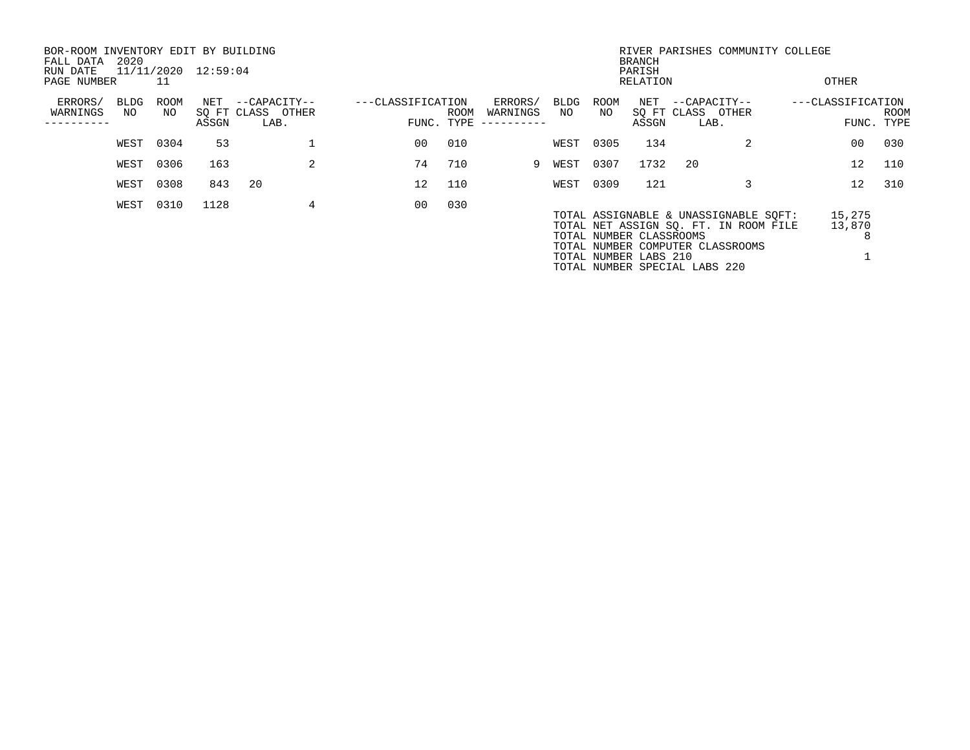| BOR-ROOM INVENTORY EDIT BY BUILDING<br>FALL DATA<br>RUN DATE | 2020 |           | 11/11/2020 12:59:04 |      |                   |                   |            |      |                        |        |           | <b>BRANCH</b><br>PARISH                          |                               | RIVER PARISHES COMMUNITY COLLEGE                                                                                   |                   |                       |                           |
|--------------------------------------------------------------|------|-----------|---------------------|------|-------------------|-------------------|------------|------|------------------------|--------|-----------|--------------------------------------------------|-------------------------------|--------------------------------------------------------------------------------------------------------------------|-------------------|-----------------------|---------------------------|
| PAGE NUMBER                                                  |      | 11        |                     |      |                   |                   |            |      |                        |        |           | RELATION                                         |                               |                                                                                                                    | OTHER             |                       |                           |
| ERRORS/                                                      | BLDG | ROOM      |                     |      | NET --CAPACITY--  | ---CLASSIFICATION |            |      | ERRORS/                | BLDG   | ROOM      | NET                                              | --CAPACITY--                  |                                                                                                                    | ---CLASSIFICATION |                       |                           |
| WARNINGS                                                     | NO   | NO        | ASSGN               | LAB. | SO FT CLASS OTHER |                   | FUNC. TYPE | ROOM | WARNINGS<br>---------- | NO     | NO        | ASSGN                                            | SQ FT CLASS OTHER<br>LAB.     |                                                                                                                    |                   |                       | <b>ROOM</b><br>FUNC. TYPE |
|                                                              |      | WEST 0304 | 53                  |      |                   |                   | 00         | 010  |                        |        | WEST 0305 | 134                                              |                               |                                                                                                                    |                   | 0 <sub>0</sub>        | 030                       |
|                                                              | WEST | 0306      | 163                 |      | 2                 |                   | 74         | 710  |                        | 9 WEST | 0307      | 1732                                             | 20                            |                                                                                                                    |                   | $12 \,$               | 110                       |
|                                                              | WEST | 0308      | 843                 | 20   |                   |                   | 12         | 110  |                        |        | WEST 0309 | 121                                              |                               |                                                                                                                    |                   | 12 <sup>°</sup>       | 310                       |
|                                                              |      | WEST 0310 | 1128                |      | 4                 |                   | 00         | 030  |                        |        |           | TOTAL NUMBER CLASSROOMS<br>TOTAL NUMBER LABS 210 | TOTAL NUMBER SPECIAL LABS 220 | TOTAL ASSIGNABLE & UNASSIGNABLE SOFT:<br>TOTAL NET ASSIGN SQ. FT. IN ROOM FILE<br>TOTAL NUMBER COMPUTER CLASSROOMS |                   | 15,275<br>13,870<br>8 |                           |